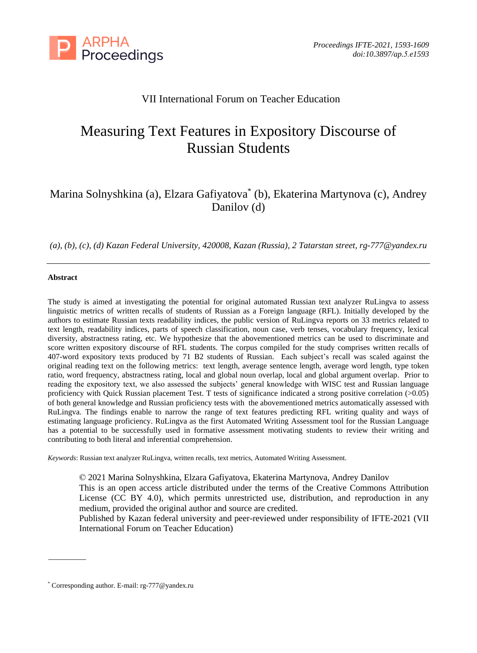

# VII International Forum on Teacher Education

# Measuring Text Features in Expository Discourse of Russian Students

# Marina Solnyshkina (a), Elzara Gafiyatova\* (b), Ekaterina Martynova (c), Andrey Danilov (d)

*(a), (b), (c), (d) Kazan Federal University, 420008, Kazan (Russia), 2 Tatarstan street, rg-777@yandex.ru*

#### **Abstract**

The study is aimed at investigating the potential for original automated Russian text analyzer RuLingva to assess linguistic metrics of written recalls of students of Russian as a Foreign language (RFL). Initially developed by the authors to estimate Russian texts readability indices, the public version of RuLingva reports on 33 metrics related to text length, readability indices, parts of speech classification, noun case, verb tenses, vocabulary frequency, lexical diversity, abstractness rating, etc. We hypothesize that the abovementioned metrics can be used to discriminate and score written expository discourse of RFL students. The corpus compiled for the study comprises written recalls of 407-word expository texts produced by 71 B2 students of Russian. Each subject's recall was scaled against the original reading text on the following metrics: text length, average sentence length, average word length, type token ratio, word frequency, abstractness rating, local and global noun overlap, local and global argument overlap. Prior to reading the expository text, we also assessed the subjects' general knowledge with WISC test and Russian language proficiency with Quick Russian placement Test. T tests of significance indicated a strong positive correlation (>0.05) of both general knowledge and Russian proficiency tests with the abovementioned metrics automatically assessed with RuLingva. The findings enable to narrow the range of text features predicting RFL writing quality and ways of estimating language proficiency. RuLingva as the first Automated Writing Assessment tool for the Russian Language has a potential to be successfully used in formative assessment motivating students to review their writing and contributing to both literal and inferential comprehension.

*Keywords*: Russian text analyzer RuLingva, written recalls, text metrics, Automated Writing Assessment.

© 2021 Marina Solnyshkina, Elzara Gafiyatova, Ekaterina Martynova, Andrey Danilov This is an open access article distributed under the terms of the Creative Commons Attribution License (CC BY 4.0), which permits unrestricted use, distribution, and reproduction in any medium, provided the original author and source are credited.

Published by Kazan federal university and peer-reviewed under responsibility of IFTE-2021 (VII International Forum on Teacher Education)

<sup>\*</sup> Corresponding author. E-mail: rg-777@yandex.ru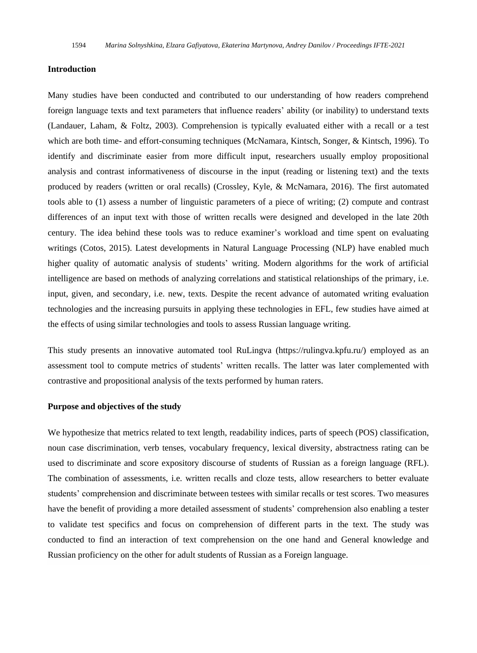#### **Introduction**

Many studies have been conducted and contributed to our understanding of how readers comprehend foreign language texts and text parameters that influence readers' ability (or inability) to understand texts (Landauer, Laham, & Foltz, 2003). Comprehension is typically evaluated either with a recall or a test which are both time- and effort-consuming techniques (McNamara, Kintsch, Songer, & Kintsch, 1996). To identify and discriminate easier from more difficult input, researchers usually employ propositional analysis and contrast informativeness of discourse in the input (reading or listening text) and the texts produced by readers (written or oral recalls) (Crossley, Kyle, & McNamara, 2016). The first automated tools able to (1) assess a number of linguistic parameters of a piece of writing; (2) compute and contrast differences of an input text with those of written recalls were designed and developed in the late 20th century. The idea behind these tools was to reduce examiner's workload and time spent on evaluating writings (Cotos, 2015). Latest developments in Natural Language Processing (NLP) have enabled much higher quality of automatic analysis of students' writing. Modern algorithms for the work of artificial intelligence are based on methods of analyzing correlations and statistical relationships of the primary, i.e. input, given, and secondary, i.e. new, texts. Despite the recent advance of automated writing evaluation technologies and the increasing pursuits in applying these technologies in EFL, few studies have aimed at the effects of using similar technologies and tools to assess Russian language writing.

This study presents an innovative automated tool RuLingva (https://rulingva.kpfu.ru/) employed as an assessment tool to compute metrics of students' written recalls. The latter was later complemented with contrastive and propositional analysis of the texts performed by human raters.

#### **Purpose and objectives of the study**

We hypothesize that metrics related to text length, readability indices, parts of speech (POS) classification, noun case discrimination, verb tenses, vocabulary frequency, lexical diversity, abstractness rating can be used to discriminate and score expository discourse of students of Russian as a foreign language (RFL). The combination of assessments, i.e. written recalls and cloze tests, allow researchers to better evaluate students' comprehension and discriminate between testees with similar recalls or test scores. Two measures have the benefit of providing a more detailed assessment of students' comprehension also enabling a tester to validate test specifics and focus on comprehension of different parts in the text. The study was conducted to find an interaction of text comprehension on the one hand and General knowledge and Russian proficiency on the other for adult students of Russian as a Foreign language.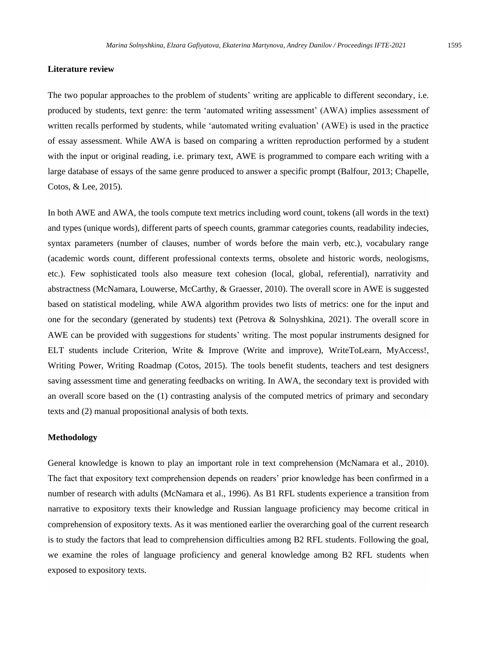#### **Literature review**

The two popular approaches to the problem of students' writing are applicable to different secondary, i.e. produced by students, text genre: the term 'automated writing assessment' (AWA) implies assessment of written recalls performed by students, while 'automated writing evaluation' (AWE) is used in the practice of essay assessment. While AWA is based on comparing a written reproduction performed by a student with the input or original reading, i.e. primary text, AWE is programmed to compare each writing with a large database of essays of the same genre produced to answer a specific prompt (Balfour, 2013; Chapelle, Cotos, & Lee, 2015).

In both AWE and AWA, the tools compute text metrics including word count, tokens (all words in the text) and types (unique words), different parts of speech counts, grammar categories counts, readability indecies, syntax parameters (number of clauses, number of words before the main verb, etc.), vocabulary range (academic words count, different professional contexts terms, obsolete and historic words, neologisms, etc.). Few sophisticated tools also measure text cohesion (local, global, referential), narrativity and abstractness (McNamara, Louwerse, McCarthy, & Graesser, 2010). The overall score in AWE is suggested based on statistical modeling, while AWA algorithm provides two lists of metrics: one for the input and one for the secondary (generated by students) text (Petrova & Solnyshkina, 2021). The overall score in AWE can be provided with suggestions for students' writing. The most popular instruments designed for ELT students include Criterion, Write & Improve (Write and improve), WriteToLearn, MyAccess!, Writing Power, Writing Roadmap (Cotos, 2015). The tools benefit students, teachers and test designers saving assessment time and generating feedbacks on writing. In AWA, the secondary text is provided with an overall score based on the (1) contrasting analysis of the computed metrics of primary and secondary texts and (2) manual propositional analysis of both texts.

#### **Methodology**

General knowledge is known to play an important role in text comprehension (McNamara et al., 2010). The fact that expository text comprehension depends on readers' prior knowledge has been confirmed in a number of research with adults (McNamara et al., 1996). As B1 RFL students experience a transition from narrative to expository texts their knowledge and Russian language proficiency may become critical in comprehension of expository texts. As it was mentioned earlier the overarching goal of the current research is to study the factors that lead to comprehension difficulties among B2 RFL students. Following the goal, we examine the roles of language proficiency and general knowledge among B2 RFL students when exposed to expository texts.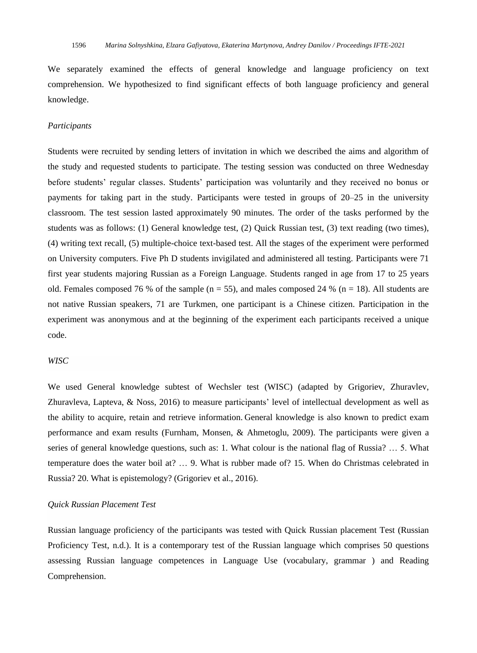We separately examined the effects of general knowledge and language proficiency on text comprehension. We hypothesized to find significant effects of both language proficiency and general knowledge.

#### *Participants*

Students were recruited by sending letters of invitation in which we described the aims and algorithm of the study and requested students to participate. The testing session was conducted on three Wednesday before students' regular classes. Students' participation was voluntarily and they received no bonus or payments for taking part in the study. Participants were tested in groups of 20–25 in the university classroom. The test session lasted approximately 90 minutes. The order of the tasks performed by the students was as follows: (1) General knowledge test, (2) Quick Russian test, (3) text reading (two times), (4) writing text recall, (5) multiple-choice text-based test. All the stages of the experiment were performed on University computers. Five Ph D students invigilated and administered all testing. Participants were 71 first year students majoring Russian as a Foreign Language. Students ranged in age from 17 to 25 years old. Females composed 76 % of the sample  $(n = 55)$ , and males composed 24 %  $(n = 18)$ . All students are not native Russian speakers, 71 are [Turkmen,](https://www.multitran.com/m.exe?s=Turkmen&l1=1&l2=2) one participant is a Chinese citizen. Participation in the experiment was anonymous and at the beginning of the experiment each participants received a unique code.

#### *WISC*

We used General knowledge subtest of Wechsler test (WISC) (adapted by Grigoriev, Zhuravlev, Zhuravleva, Lapteva, & Noss, 2016) to measure participants' level of intellectual development as well as the ability to acquire, retain and retrieve information. General knowledge is also known to predict exam performance and exam results (Furnham, Monsen, & Ahmetoglu, 2009). The participants were given a series of general knowledge questions, such as: 1. What colour is the national flag of Russia? … 5. What temperature does the water boil at? … 9. What is rubber made of? 15. When do Christmas celebrated in Russia? 20. What is epistemology? (Grigoriev et al., 2016).

#### *Quick Russian Placement Test*

Russian language proficiency of the participants was tested with Quick Russian placement Test (Russian Proficiency Test, n.d.). It is a contemporary test of the Russian language which comprises 50 questions assessing Russian language competences in Language Use (vocabulary, grammar ) and Reading Comprehension.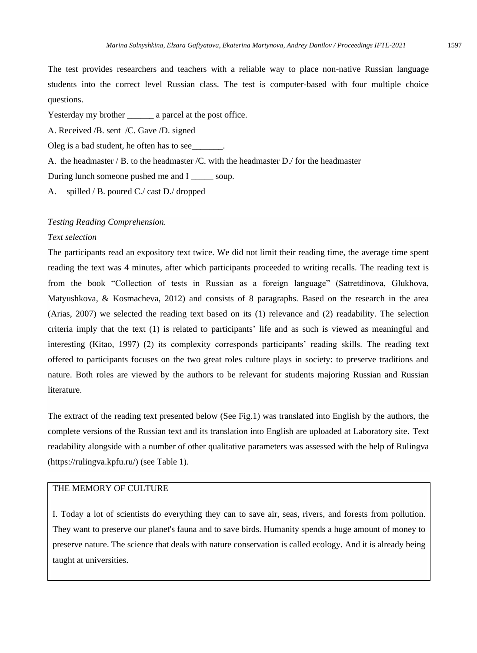The test provides researchers and teachers with a reliable way to place non-native Russian language students into the correct level Russian class. The test is computer-based with four multiple choice questions.

Yesterday my brother \_\_\_\_\_\_ a parcel at the post office.

А. Received /В. sent /С. Gave /D. signed

Oleg is a bad student, he often has to see\_

A. the headmaster  $/B$ . to the headmaster  $/C$ . with the headmaster  $D$ . for the headmaster

During lunch someone pushed me and I \_\_\_\_\_\_ soup.

A. spilled / B. poured C./ cast D./ dropped

#### *Testing Reading Comprehension.*

#### *Text selection*

The participants read an expository text twice. We did not limit their reading time, the average time spent reading the text was 4 minutes, after which participants proceeded to writing recalls. The reading text is from the book "Collection of tests in Russian as a foreign language" (Satretdinova, Glukhova, Matyushkova, & Kosmacheva, 2012) and consists of 8 paragraphs. Based on the research in the area (Arias, 2007) we selected the reading text based on its (1) relevance and (2) readability. The selection criteria imply that the text (1) is related to participants' life and as such is viewed as meaningful and interesting (Kitao, 1997) (2) its complexity corresponds participants' reading skills. The reading text offered to participants focuses on the two great roles culture plays in society: to preserve traditions and nature. Both roles are viewed by the authors to be relevant for students majoring Russian and Russian literature.

The extract of the reading text presented below (See Fig.1) was translated into English by the authors, the complete versions of the Russian text and its translation into English are uploaded at Laboratory site. Text readability alongside with a number of other qualitative parameters was assessed with the help of Rulingva [\(https://rulingva.kpfu.ru/\)](https://rulingva.kpfu.ru/) (see Table 1).

### THE MEMORY OF CULTURE

I. Today a lot of scientists do everything they can to save air, seas, rivers, and forests from pollution. They want to preserve our planet's fauna and to save birds. Humanity spends a huge amount of money to preserve nature. The science that deals with nature conservation is called ecology. And it is already being taught at universities.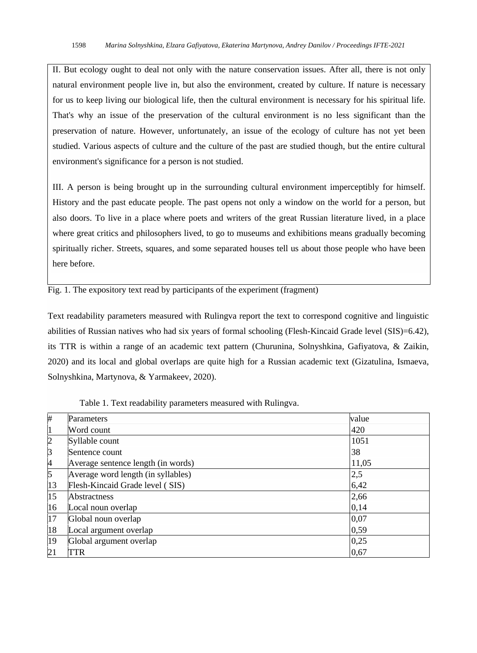II. But ecology ought to deal not only with the nature conservation issues. After all, there is not only natural environment people live in, but also the environment, created by culture. If nature is necessary for us to keep living our biological life, then the cultural environment is necessary for his spiritual life. That's why an issue of the preservation of the cultural environment is no less significant than the preservation of nature. However, unfortunately, an issue of the ecology of culture has not yet been studied. Various aspects of culture and the culture of the past are studied though, but the entire cultural environment's significance for a person is not studied.

III. A person is being brought up in the surrounding cultural environment imperceptibly for himself. History and the past educate people. The past opens not only a window on the world for a person, but also doors. To live in a place where poets and writers of the great Russian literature lived, in a place where great critics and philosophers lived, to go to museums and exhibitions means gradually becoming spiritually richer. Streets, squares, and some separated houses tell us about those people who have been here before.

Fig. 1. The expository text read by participants of the experiment (fragment)

Text readability parameters measured with Rulingva report the text to correspond cognitive and linguistic abilities of Russian natives who had six years of formal schooling (Flesh-Kincaid Grade level (SIS)=6.42), its TTR is within a range of an academic text pattern (Churunina, Solnyshkina, Gafiyatova, & Zaikin, 2020) and its local and global overlaps are quite high for a Russian academic text [\(Gizatulina, Ismaeva,](https://kpfu.ru/publication?p_id=245151)  [Solnyshkina, Martynova, & Yarmakeev, 2020\)](https://kpfu.ru/publication?p_id=245151).

| #              | Parameters                         | value |
|----------------|------------------------------------|-------|
| $\vert$ 1      | Word count                         | 420   |
| $\overline{2}$ | Syllable count                     | 1051  |
| 3              | Sentence count                     | 38    |
| 4              | Average sentence length (in words) | 11,05 |
| $\sqrt{5}$     | Average word length (in syllables) | 2,5   |
| 13             | Flesh-Kincaid Grade level (SIS)    | 6,42  |
| 15             | Abstractness                       | 2,66  |
| 16             | Local noun overlap                 | 0,14  |
| 17             | Global noun overlap                | 0,07  |
| 18             | Local argument overlap             | 0,59  |
| 19             | Global argument overlap            | 0,25  |
| 21             | TTR                                | 0,67  |

Table 1. Text readability parameters measured with Rulingva.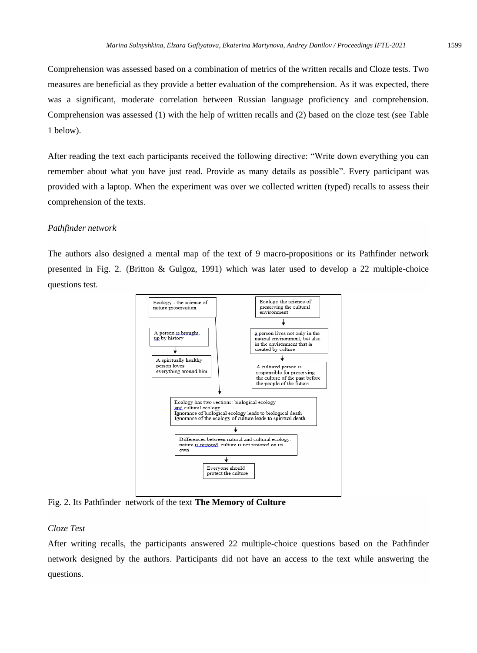Comprehension was assessed based on a combination of metrics of the written recalls and Cloze tests. Two measures are beneficial as they provide a better evaluation of the comprehension. As it was expected, there was a significant, moderate correlation between Russian language proficiency and comprehension. Comprehension was assessed (1) with the help of written recalls and (2) based on the cloze test (see Table 1 below).

After reading the text each participants received the following directive: "Write down everything you can remember about what you have just read. Provide as many details as possible". Every participant was provided with a laptop. When the experiment was over we collected written (typed) recalls to assess their comprehension of the texts.

#### *Pathfinder network*

The authors also designed a mental map of the text of 9 macro-propositions or its Pathfinder network presented in Fig. 2. (Britton & Gulgoz, 1991) which was later used to develop a 22 multiple-choice questions test.



Fig. 2. Its Pathfinder network of the text **The Memory of Culture**

#### *Cloze Test*

After writing recalls, the participants answered 22 multiple-choice questions based on the Pathfinder network designed by the authors. Participants did not have an access to the text while answering the questions.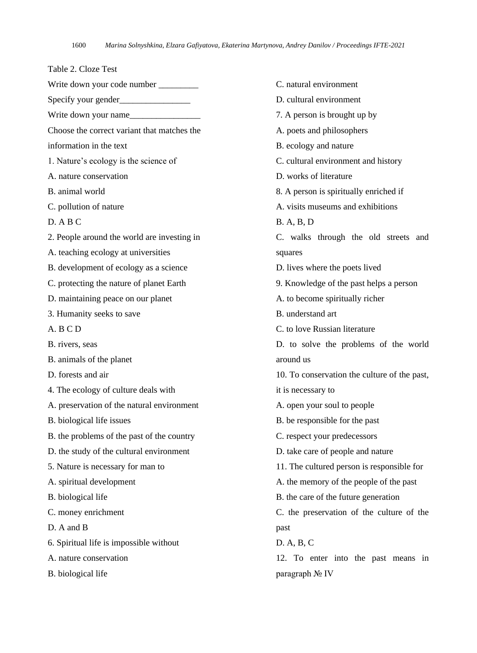Table 2. Cloze Test Write down your code number Specify your gender\_\_\_\_\_\_\_\_\_\_\_\_\_\_\_\_ Write down your name Choose the correct variant that matches the information in the text 1. Nature's ecology is the science of A. nature conservation B. animal world C. pollution of nature D. A B C 2. People around the world are investing in A. teaching ecology at universities B. development of ecology as a science C. protecting the nature of planet Earth D. maintaining peace on our planet 3. Humanity seeks to save A. B C D B. rivers, seas B. animals of the planet D. forests and air 4. The ecology of culture deals with A. preservation of the natural environment B. biological life issues B. the problems of the past of the country D. the study of the cultural environment 5. Nature is necessary for man to A. spiritual development B. biological life C. money enrichment D. A and B 6. Spiritual life is impossible without A. nature conservation B. biological life

C. natural environment D. cultural environment 7. A person is brought up by A. poets and philosophers B. ecology and nature C. cultural environment and history D. works of literature 8. A person is spiritually enriched if A. visits museums and exhibitions B. A, B, D C. walks through the old streets and squares D. lives where the poets lived 9. Knowledge of the past helps a person A. to become spiritually richer B. understand art C. to love Russian literature D. to solve the problems of the world around us 10. To conservation the culture of the past, it is necessary to A. open your soul to people B. be responsible for the past C. respect your predecessors D. take care of people and nature 11. The cultured person is responsible for A. the memory of the people of the past B. the care of the future generation C. the preservation of the culture of the past D. A, B, C 12. To enter into the past means in

paragraph № IV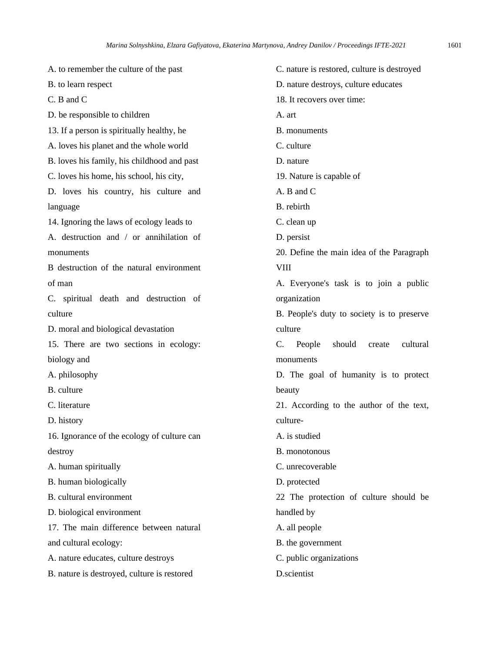A. to remember the culture of the past B. to learn respect C. B and C D. be responsible to children 13. If a person is spiritually healthy, he A. loves his planet and the whole world B. loves his family, his childhood and past C. loves his home, his school, his city, D. loves his country, his culture and language 14. Ignoring the laws of ecology leads to A. destruction and / or annihilation of monuments B destruction of the natural environment of man C. spiritual death and destruction of culture D. moral and biological devastation 15. There are two sections in ecology: biology and A. philosophy B. culture C. literature D. history 16. Ignorance of the ecology of culture can destroy A. human spiritually B. human biologically B. cultural environment D. biological environment 17. The main difference between natural and cultural ecology: A. nature educates, culture destroys B. nature is destroyed, culture is restored C. nature is restored, culture is destroyed D. nature destroys, culture educates 18. It recovers over time: A. art B. monuments C. culture D. nature 19. Nature is capable of A. B and C B. rebirth C. clean up D. persist 20. Define the main idea of the Paragraph VIII A. Everyone's task is to join a public organization B. People's duty to society is to preserve culture C. People should create cultural monuments D. The goal of humanity is to protect beauty 21. According to the author of the text, culture-A. is studied B. monotonous C. unrecoverable D. protected 22 The protection of culture should be handled by A. all people B. the government C. public organizations D.scientist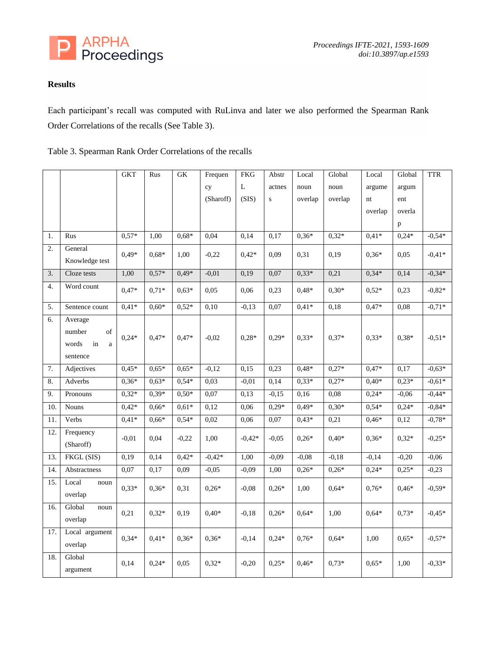

## **Results**

Each participant's recall was computed with RuLinva and later we also performed the Spearman Rank Order Correlations of the recalls (See Table 3).

|  | Table 3. Spearman Rank Order Correlations of the recalls |  |  |  |  |
|--|----------------------------------------------------------|--|--|--|--|
|--|----------------------------------------------------------|--|--|--|--|

|     |                                                                | <b>GKT</b> | Rus     | ${\rm GK}$ | Frequen   | <b>FKG</b> | Abstr     | Local   | Global  | Local   | Global  | <b>TTR</b> |
|-----|----------------------------------------------------------------|------------|---------|------------|-----------|------------|-----------|---------|---------|---------|---------|------------|
|     |                                                                |            |         |            | cy        | L          | actnes    | noun    | noun    | argume  | argum   |            |
|     |                                                                |            |         |            | (Sharoff) | (SIS)      | ${\bf S}$ | overlap | overlap | nt      | ent     |            |
|     |                                                                |            |         |            |           |            |           |         |         | overlap | overla  |            |
|     |                                                                |            |         |            |           |            |           |         |         |         | p       |            |
| 1.  | Rus                                                            | $0,57*$    | 1,00    | $0,68*$    | 0,04      | 0,14       | 0,17      | $0,36*$ | $0,32*$ | $0,41*$ | $0,24*$ | $-0,54*$   |
| 2.  | General                                                        | $0.49*$    | $0.68*$ | 1,00       | $-0,22$   | $0.42*$    | 0,09      | 0,31    | 0,19    | $0.36*$ | 0.05    | $-0.41*$   |
|     | Knowledge test                                                 |            |         |            |           |            |           |         |         |         |         |            |
| 3.  | Cloze tests                                                    | 1,00       | $0,57*$ | $0.49*$    | $-0,01$   | 0,19       | 0,07      | $0.33*$ | 0,21    | $0.34*$ | 0,14    | $-0,34*$   |
| 4.  | Word count                                                     | $0,47*$    | $0,71*$ | $0.63*$    | 0,05      | 0,06       | 0,23      | $0.48*$ | $0,30*$ | $0.52*$ | 0,23    | $-0,82*$   |
| 5.  | Sentence count                                                 | $0,41*$    | $0,60*$ | $0,52*$    | 0,10      | $-0,13$    | 0,07      | $0,41*$ | 0,18    | $0,47*$ | 0,08    | $-0,71*$   |
| 6.  | Average<br>of<br>number<br>words<br>in<br>$\rm{a}$<br>sentence | $0,24*$    | $0,47*$ | $0,47*$    | $-0,02$   | $0,28*$    | $0,29*$   | $0,33*$ | $0,37*$ | $0,33*$ | $0,38*$ | $-0,51*$   |
| 7.  | Adjectives                                                     | $0,45*$    | $0,65*$ | $0,65*$    | $-0,12$   | 0,15       | 0,23      | $0,48*$ | $0,27*$ | $0,47*$ | 0,17    | $-0,63*$   |
| 8.  | Adverbs                                                        | $0,36*$    | $0,63*$ | $0.54*$    | 0,03      | $-0,01$    | 0,14      | $0,33*$ | $0,27*$ | $0,40*$ | $0,23*$ | $-0,61*$   |
| 9.  | Pronouns                                                       | $0.32*$    | $0,39*$ | $0,50*$    | 0,07      | 0,13       | $-0,15$   | 0,16    | 0,08    | $0,24*$ | $-0,06$ | $-0,44*$   |
| 10. | <b>Nouns</b>                                                   | $0.42*$    | $0.66*$ | $0.61*$    | 0,12      | 0,06       | $0,29*$   | $0.49*$ | $0,30*$ | $0.54*$ | $0,24*$ | $-0.84*$   |
| 11. | Verbs                                                          | $0.41*$    | $0.66*$ | $0.54*$    | 0,02      | 0,06       | 0,07      | $0.43*$ | 0,21    | $0.46*$ | 0,12    | $-0.78*$   |
| 12. | Frequency<br>(Sharoff)                                         | $-0,01$    | 0,04    | $-0,22$    | 1,00      | $-0.42*$   | $-0.05$   | $0,26*$ | $0.40*$ | $0,36*$ | $0.32*$ | $-0,25*$   |
| 13. | FKGL (SIS)                                                     | 0,19       | 0,14    | $0,42*$    | $-0,42*$  | 1,00       | $-0,09$   | $-0,08$ | $-0,18$ | $-0,14$ | $-0,20$ | $-0,06$    |
| 14. | Abstractness                                                   | 0,07       | 0,17    | 0,09       | $-0,05$   | $-0,09$    | 1,00      | $0,26*$ | $0,26*$ | $0,24*$ | $0,25*$ | $-0,23$    |
| 15. | Local<br>noun<br>overlap                                       | $0.33*$    | $0,36*$ | 0,31       | $0.26*$   | $-0.08$    | $0,26*$   | 1,00    | $0.64*$ | $0.76*$ | $0.46*$ | $-0,59*$   |
| 16. | Global<br>noun<br>overlap                                      | 0,21       | $0,32*$ | 0,19       | $0,40*$   | $-0,18$    | $0,26*$   | $0,64*$ | 1,00    | $0,64*$ | $0,73*$ | $-0,45*$   |
| 17. | Local argument<br>overlap                                      | $0,34*$    | $0,41*$ | $0.36*$    | $0,36*$   | $-0,14$    | $0,24*$   | $0.76*$ | $0.64*$ | 1,00    | $0,65*$ | $-0,57*$   |
| 18. | Global<br>argument                                             | 0.14       | $0.24*$ | 0,05       | $0.32*$   | $-0,20$    | $0.25*$   | $0.46*$ | $0.73*$ | $0.65*$ | 1,00    | $-0.33*$   |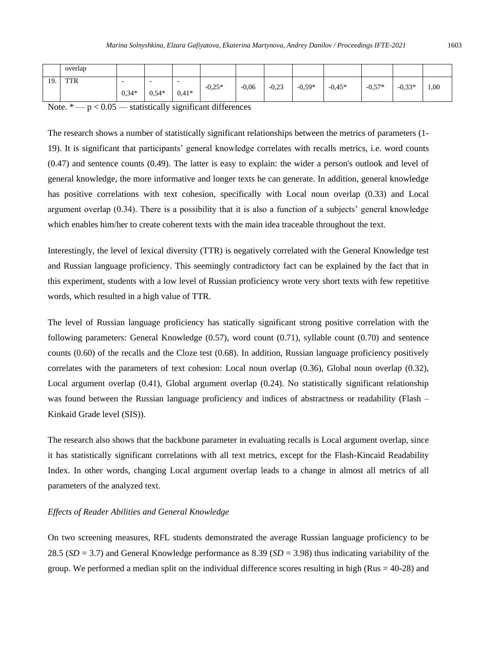|     | overlap |                                     |         |                                     |          |         |         |          |          |          |          |      |
|-----|---------|-------------------------------------|---------|-------------------------------------|----------|---------|---------|----------|----------|----------|----------|------|
| 19. | TTR     | $\overline{\phantom{a}}$<br>$0.34*$ | $0.54*$ | $\overline{\phantom{a}}$<br>$0,41*$ | $-0.25*$ | $-0.06$ | $-0,23$ | $-0.59*$ | $-0,45*$ | $-0,57*$ | $-0.33*$ | 1,00 |

Note.  $* - p < 0.05$  — statistically significant differences

The research shows a number of statistically significant relationships between the metrics of parameters (1- 19). It is significant that participants' general knowledge correlates with recalls metrics, i.e. word counts (0.47) and sentence counts (0.49). The latter is easy to explain: the wider a person's outlook and level of general knowledge, the more informative and longer texts he can generate. In addition, general knowledge has positive correlations with text cohesion, specifically with Local noun overlap (0.33) and Local argument overlap (0.34). There is a possibility that it is also a function of a subjects' general knowledge which enables him/her to create coherent texts with the main idea traceable throughout the text.

Interestingly, the level of lexical diversity (TTR) is negatively correlated with the General Knowledge test and Russian language proficiency. This seemingly contradictory fact can be explained by the fact that in this experiment, students with a low level of Russian proficiency wrote very short texts with few repetitive words, which resulted in a high value of TTR.

The level of Russian language proficiency has statically significant strong positive correlation with the following parameters: General Knowledge (0.57), word count (0.71), syllable count (0.70) and sentence counts (0.60) of the recalls and the Cloze test (0.68). In addition, Russian language proficiency positively correlates with the parameters of text cohesion: Local noun overlap (0.36), Global noun overlap (0.32), Local argument overlap (0.41), Global argument overlap (0.24). No statistically significant relationship was found between the Russian language proficiency and indices of abstractness or readability (Flash – Kinkaid Grade level (SIS)).

The research also shows that the backbone parameter in evaluating recalls is Local argument overlap, since it has statistically significant correlations with all text metrics, except for the Flash-Kincaid Readability Index. In other words, changing Local argument overlap leads to a change in almost all metrics of all parameters of the analyzed text.

#### *Effects of Reader Abilities and General Knowledge*

On two screening measures, RFL students demonstrated the average Russian language proficiency to be 28.5 (*SD* = 3.7) and General Knowledge performance as 8.39 (*SD* = 3.98) thus indicating variability of the group. We performed a median split on the individual difference scores resulting in high ( $Rus = 40-28$ ) and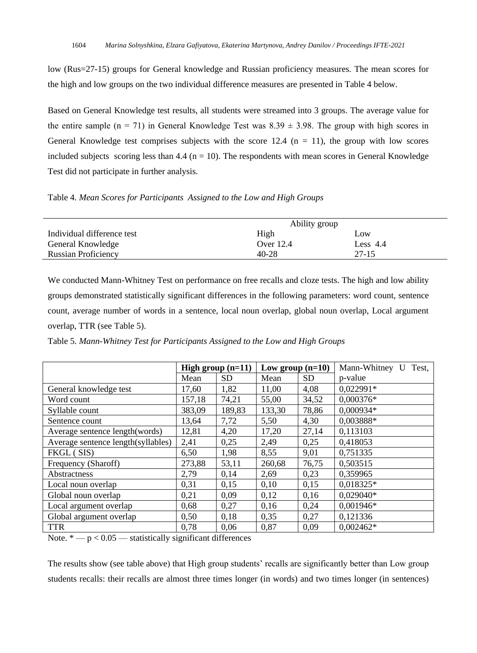low (Rus=27-15) groups for General knowledge and Russian proficiency measures. The mean scores for the high and low groups on the two individual difference measures are presented in Table 4 below.

Based on General Knowledge test results, all students were streamed into 3 groups. The average value for the entire sample (n = 71) in General Knowledge Test was  $8.39 \pm 3.98$ . The group with high scores in General Knowledge test comprises subjects with the score 12.4 ( $n = 11$ ), the group with low scores included subjects scoring less than 4.4 ( $n = 10$ ). The respondents with mean scores in General Knowledge Test did not participate in further analysis.

Table 4. *Mean Scores for Participants Assigned to the Low and High Groups*

|                            | Ability group |            |  |
|----------------------------|---------------|------------|--|
| Individual difference test | High          | Low        |  |
| General Knowledge          | Over 12.4     | Less $4.4$ |  |
| <b>Russian Proficiency</b> | 40-28         | 27-15      |  |

We conducted Mann-Whitney Test on performance on free recalls and cloze tests. The high and low ability groups demonstrated statistically significant differences in the following parameters: word count, sentence count, average number of words in a sentence, local noun overlap, global noun overlap, Local argument overlap, TTR (see Table 5).

Table 5. *Mann-Whitney Test for Participants Assigned to the Low and High Groups*

|                                    | High group $(n=11)$ |           | Low group $(n=10)$ |           | Mann-Whitney U<br>Test. |
|------------------------------------|---------------------|-----------|--------------------|-----------|-------------------------|
|                                    | Mean                | <b>SD</b> | Mean               | <b>SD</b> | p-value                 |
| General knowledge test             | 17.60               | 1,82      | 11.00              | 4,08      | $0.022991*$             |
| Word count                         | 157,18              | 74,21     | 55,00              | 34,52     | $0.000376*$             |
| Syllable count                     | 383,09              | 189,83    | 133,30             | 78,86     | 0,000934*               |
| Sentence count                     | 13,64               | 7,72      | 5,50               | 4,30      | 0,003888*               |
| Average sentence length (words)    | 12,81               | 4,20      | 17,20              | 27,14     | 0,113103                |
| Average sentence length(syllables) | 2,41                | 0,25      | 2,49               | 0,25      | 0,418053                |
| FKGL (SIS)                         | 6,50                | 1,98      | 8,55               | 9,01      | 0,751335                |
| Frequency (Sharoff)                | 273,88              | 53,11     | 260,68             | 76,75     | 0,503515                |
| Abstractness                       | 2.79                | 0,14      | 2,69               | 0,23      | 0,359965                |
| Local noun overlap                 | 0,31                | 0,15      | 0,10               | 0,15      | $0.018325*$             |
| Global noun overlap                | 0,21                | 0,09      | 0,12               | 0,16      | $0.029040*$             |
| Local argument overlap             | 0,68                | 0,27      | 0,16               | 0,24      | $0.001946*$             |
| Global argument overlap            | 0,50                | 0,18      | 0,35               | 0,27      | 0,121336                |
| <b>TTR</b>                         | 0.78                | 0.06      | 0,87               | 0.09      | $0.002462*$             |

Note.  $* - p < 0.05$  — statistically significant differences

The results show (see table above) that High group students' recalls are significantly better than Low group students recalls: their recalls are almost three times longer (in words) and two times longer (in sentences)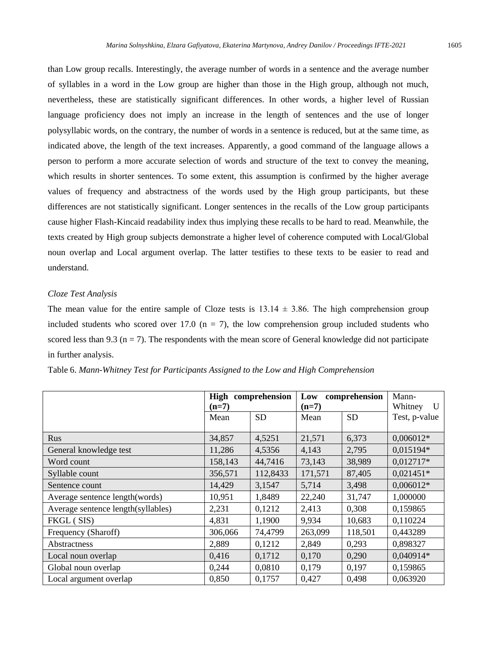than Low group recalls. Interestingly, the average number of words in a sentence and the average number of syllables in a word in the Low group are higher than those in the High group, although not much, nevertheless, these are statistically significant differences. In other words, a higher level of Russian language proficiency does not imply an increase in the length of sentences and the use of longer polysyllabic words, on the contrary, the number of words in a sentence is reduced, but at the same time, as indicated above, the length of the text increases. Apparently, a good command of the language allows a person to perform a more accurate selection of words and structure of the text to convey the meaning, which results in shorter sentences. To some extent, this assumption is confirmed by the higher average values of frequency and abstractness of the words used by the High group participants, but these differences are not statistically significant. Longer sentences in the recalls of the Low group participants cause higher Flash-Kincaid readability index thus implying these recalls to be hard to read. Meanwhile, the texts created by High group subjects demonstrate a higher level of coherence computed with Local/Global noun overlap and Local argument overlap. The latter testifies to these texts to be easier to read and understand.

#### *Cloze Test Analysis*

The mean value for the entire sample of Cloze tests is  $13.14 \pm 3.86$ . The high comprehension group included students who scored over 17.0 ( $n = 7$ ), the low comprehension group included students who scored less than 9.3 ( $n = 7$ ). The respondents with the mean score of General knowledge did not participate in further analysis.

|                                    | High comprehension<br>$(n=7)$ |           | comprehension<br>Low<br>$(n=7)$ | Mann-<br>Whitney<br>U |               |
|------------------------------------|-------------------------------|-----------|---------------------------------|-----------------------|---------------|
|                                    | Mean                          | <b>SD</b> | Mean                            | <b>SD</b>             | Test, p-value |
| Rus                                | 34,857                        | 4,5251    | 21,571                          | 6,373                 | $0,006012*$   |
| General knowledge test             | 11,286                        | 4,5356    | 4,143                           | 2,795                 | 0,015194*     |
| Word count                         | 158,143                       | 44,7416   | 73,143                          | 38,989                | $0,012717*$   |
| Syllable count                     | 356,571                       | 112,8433  | 171,571                         | 87,405                | $0,021451*$   |
| Sentence count                     | 14,429                        | 3,1547    | 5,714                           | 3,498                 | $0,006012*$   |
| Average sentence length (words)    | 10,951                        | 1,8489    | 22,240                          | 31,747                | 1,000000      |
| Average sentence length(syllables) | 2,231                         | 0,1212    | 2,413                           | 0,308                 | 0,159865      |
| FKGL (SIS)                         | 4,831                         | 1,1900    | 9,934                           | 10,683                | 0,110224      |
| Frequency (Sharoff)                | 306,066                       | 74,4799   | 263,099                         | 118,501               | 0,443289      |
| Abstractness                       | 2,889                         | 0,1212    | 2,849                           | 0,293                 | 0,898327      |
| Local noun overlap                 | 0,416                         | 0,1712    | 0,170                           | 0,290                 | 0,040914*     |
| Global noun overlap                | 0,244                         | 0,0810    | 0,179                           | 0,197                 | 0,159865      |
| Local argument overlap             | 0,850                         | 0,1757    | 0,427                           | 0,498                 | 0,063920      |

Table 6. *Mann-Whitney Test for Participants Assigned to the Low and High Comprehension*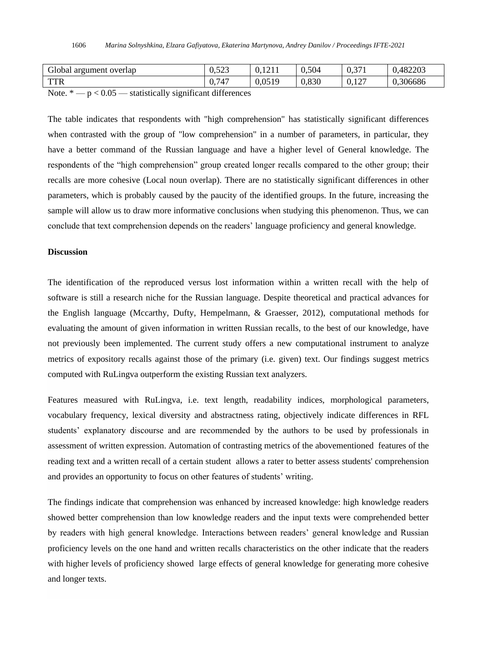| Global<br>overlap<br>argument | 500<br>v. <i>∍∠J</i> | 1011<br>1411 | 0.504 | 0.27<br>∪ູ<br>. . | 482203   |
|-------------------------------|----------------------|--------------|-------|-------------------|----------|
| TTD<br>1 I K                  | .747<br>v.           | 0,0519       | 0,830 | 0.127             | 0.306686 |

Note.  $* - p < 0.05$  — statistically significant differences

The table indicates that respondents with "high comprehension" has statistically significant differences when contrasted with the group of "low comprehension" in a number of parameters, in particular, they have a better command of the Russian language and have a higher level of General knowledge. The respondents of the "high comprehension" group created longer recalls compared to the other group; their recalls are more cohesive (Local noun overlap). There are no statistically significant differences in other parameters, which is probably caused by the paucity of the identified groups. In the future, increasing the sample will allow us to draw more informative conclusions when studying this phenomenon. Thus, we can conclude that text comprehension depends on the readers' language proficiency and general knowledge.

#### **Discussion**

The identification of the reproduced versus lost information within a written recall with the help of software is still a research niche for the Russian language. Despite theoretical and practical advances for the English language (Mccarthy, Dufty, Hempelmann, & Graesser, 2012), computational methods for evaluating the amount of given information in written Russian recalls, to the best of our knowledge, have not previously been implemented. The current study offers a new computational instrument to analyze metrics of expository recalls against those of the primary (i.e. given) text. Our findings suggest metrics computed with RuLingva outperform the existing Russian text analyzers.

Features measured with RuLingva, i.e. text length, readability indices, morphological parameters, vocabulary frequency, lexical diversity and abstractness rating, objectively indicate differences in RFL students' explanatory discourse and are recommended by the authors to be used by professionals in assessment of written expression. Automation of contrasting metrics of the abovementioned features of the reading text and a written recall of a certain student allows a rater to better assess students' comprehension and provides an opportunity to focus on other features of students' writing.

The findings indicate that comprehension was enhanced by increased knowledge: high knowledge readers showed better comprehension than low knowledge readers and the input texts were comprehended better by readers with high general knowledge. Interactions between readers' general knowledge and Russian proficiency levels on the one hand and written recalls characteristics on the other indicate that the readers with higher levels of proficiency showed large effects of general knowledge for generating more cohesive and longer texts.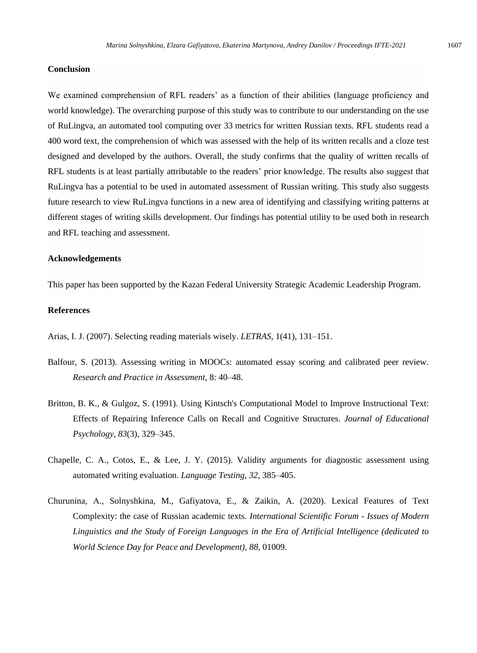#### **Conclusion**

We examined comprehension of RFL readers' as a function of their abilities (language proficiency and world knowledge). The overarching purpose of this study was to contribute to our understanding on the use of RuLingva, an automated tool computing over 33 metrics for written Russian texts. RFL students read a 400 word text, the comprehension of which was assessed with the help of its written recalls and a cloze test designed and developed by the authors. Overall, the study confirms that the quality of written recalls of RFL students is at least partially attributable to the readers' prior knowledge. The results also suggest that RuLingva has a potential to be used in automated assessment of Russian writing. This study also suggests future research to view RuLingva functions in a new area of identifying and classifying writing patterns at different stages of writing skills development. Our findings has potential utility to be used both in research and RFL teaching and assessment.

#### **Acknowledgements**

This paper has been supported by the Kazan Federal University Strategic Academic Leadership Program.

#### **References**

Arias, I. J. (2007). Selecting reading materials wisely. *LETRAS,* 1(41), 131–151.

- Balfour, S. (2013). Assessing writing in MOOCs: automated essay scoring and calibrated peer review. *Research and Practice in Assessment,* 8: 40–48.
- Britton, B. K., & Gulgoz, S. (1991). Using Kintsch's Computational Model to Improve Instructional Text: Effects of Repairing Inference Calls on Recall and Cognitive Structures. *Journal of Educational Psychology, 83*(3), 329–345.
- Chapelle, C. A., Cotos, E., & Lee, J. Y. (2015). Validity arguments for diagnostic assessment using automated writing evaluation. *Language Testing, 32*, 385–405.
- Churunina, А., Solnyshkina, M., Gafiyatova, E., & Zaikin, A. (2020). Lexical Features of Text Complexity: the case of Russian academic texts. *International Scientific Forum - Issues of Modern Linguistics and the Study of Foreign Languages in the Era of Artificial Intelligence (dedicated to World Science Day for Peace and Development), 88*, 01009.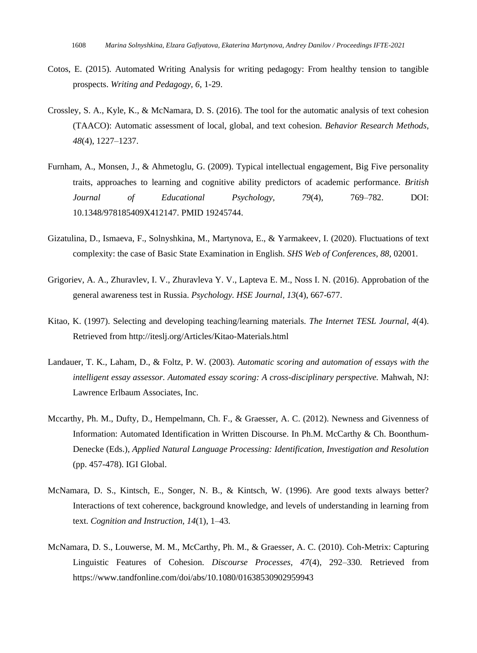- Cotos, E. (2015). Automated Writing Analysis for writing pedagogy: From healthy tension to tangible prospects. *Writing and Pedagogy, 6*, 1-29.
- Crossley, S. A., Kyle, K., & McNamara, D. S. (2016). The tool for the automatic analysis of text cohesion (TAACO): Automatic assessment of local, global, and text cohesion. *Behavior Research Methods, 48*(4), 1227–1237.
- Furnham, A., Monsen, J., & Ahmetoglu, G. (2009). Typical intellectual engagement, Big Five personality traits, approaches to learning and cognitive ability predictors of academic performance. *British Journal of Educational Psychology, 79*(4), 769–782. [DOI:](https://en.wikipedia.org/wiki/Doi_(identifier)) [10.1348/978185409X412147.](https://doi.org/10.1348%2F978185409X412147) [PMID](https://en.wikipedia.org/wiki/PMID_(identifier)) [19245744.](https://pubmed.ncbi.nlm.nih.gov/19245744)
- Gizatulina, D., Ismaeva, F., Solnyshkina, M., Martynova, E., & Yarmakeev, I. (2020). Fluctuations of text complexity: the case of Basic State Examination in English. *SHS Web of Conferences, 88*, 02001.
- Grigoriev, A. A., Zhuravlev, I. V., Zhuravleva Y. V., Lapteva E. M., Noss I. N. (2016). Approbation of the general awareness test in Russia. *Psychology. HSE Journal, 13*(4), 667-677.
- Kitao, K. (1997). Selecting and developing teaching/learning materials. *The Internet TESL Journal, 4*(4). Retrieved from http://iteslj.org/Articles/Kitao-Materials.html
- Landauer, T. K., Laham, D., & Foltz, P. W. (2003). *Automatic scoring and automation of essays with the intelligent essay assessor. Automated essay scoring: A cross-disciplinary perspective.* Mahwah, NJ: Lawrence Erlbaum Associates, Inc.
- Mccarthy, Ph. M., Dufty, D., Hempelmann, Ch. F., & Graesser, A. C. (2012). Newness and Givenness of Information: Automated Identification in Written Discourse. In Ph.M. McCarthy & Ch. Boonthum-Denecke (Eds.), *Applied Natural Language Processing: Identification, Investigation and Resolution* (pp. 457-478). IGI Global.
- McNamara, D. S., Kintsch, E., Songer, N. B., & Kintsch, W. (1996). Are good texts always better? Interactions of text coherence, background knowledge, and levels of understanding in learning from text. *Cognition and Instruction, 14*(1), 1–43.
- McNamara, D. S., Louwerse, M. M., McCarthy, Ph. M., & Graesser, A. C. (2010). Coh-Metrix: Capturing Linguistic Features of Cohesion. *Discourse Processes, 47*(4), 292–330*.* Retrieved from <https://www.tandfonline.com/doi/abs/10.1080/01638530902959943>